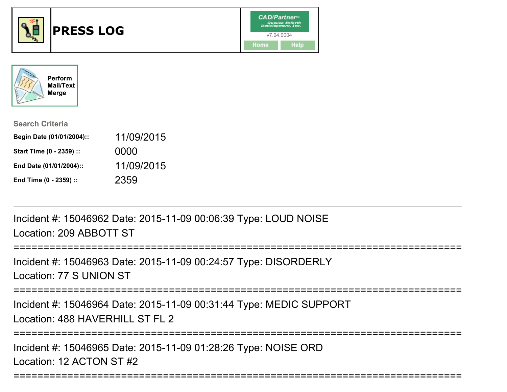



| <b>Search Criteria</b>    |            |
|---------------------------|------------|
| Begin Date (01/01/2004):: | 11/09/2015 |
| Start Time (0 - 2359) ::  | 0000       |
| End Date (01/01/2004)::   | 11/09/2015 |
| End Time (0 - 2359) ::    | 2359       |

Incident #: 15046962 Date: 2015-11-09 00:06:39 Type: LOUD NOISELocation: 209 ABBOTT ST

====================

Incident #: 15046963 Date: 2015-11-09 00:24:57 Type: DISORDERLYLocation: 77 S UNION ST

===========================================================================

Incident #: 15046964 Date: 2015-11-09 00:31:44 Type: MEDIC SUPPORTLocation: 488 HAVERHILL ST FL 2

===========================================================================

===========================================================================

Incident #: 15046965 Date: 2015-11-09 01:28:26 Type: NOISE ORDLocation: 12 ACTON ST #2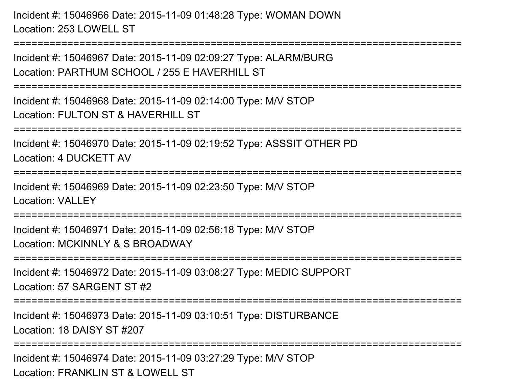Incident #: 15046966 Date: 2015-11-09 01:48:28 Type: WOMAN DOWNLocation: 253 LOWELL ST

===========================================================================

Incident #: 15046967 Date: 2015-11-09 02:09:27 Type: ALARM/BURGLocation: PARTHUM SCHOOL / 255 E HAVERHILL ST

===========================================================================

Incident #: 15046968 Date: 2015-11-09 02:14:00 Type: M/V STOPLocation: FULTON ST & HAVERHILL ST

===========================================================================

Incident #: 15046970 Date: 2015-11-09 02:19:52 Type: ASSSIT OTHER PD

Location: 4 DUCKETT AV

=============================

Incident #: 15046969 Date: 2015-11-09 02:23:50 Type: M/V STOPLocation: VALLEY

===========================================================================

Incident #: 15046971 Date: 2015-11-09 02:56:18 Type: M/V STOPLocation: MCKINNLY & S BROADWAY

===========================================================================

Incident #: 15046972 Date: 2015-11-09 03:08:27 Type: MEDIC SUPPORTLocation: 57 SARGENT ST #2

===========================================================================

Incident #: 15046973 Date: 2015-11-09 03:10:51 Type: DISTURBANCELocation: 18 DAISY ST #207

===========================================================================

Incident #: 15046974 Date: 2015-11-09 03:27:29 Type: M/V STOPLocation: FRANKLIN ST & LOWELL ST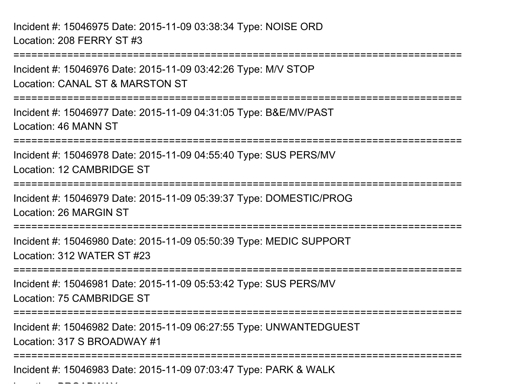Incident #: 15046975 Date: 2015-11-09 03:38:34 Type: NOISE ORDLocation: 208 FERRY ST #3

===========================================================================Incident #: 15046976 Date: 2015-11-09 03:42:26 Type: M/V STOPLocation: CANAL ST & MARSTON ST===========================================================================Incident #: 15046977 Date: 2015-11-09 04:31:05 Type: B&E/MV/PASTLocation: 46 MANN ST===========================================================================Incident #: 15046978 Date: 2015-11-09 04:55:40 Type: SUS PERS/MVLocation: 12 CAMBRIDGE ST===========================================================================Incident #: 15046979 Date: 2015-11-09 05:39:37 Type: DOMESTIC/PROGLocation: 26 MARGIN ST===========================================================================Incident #: 15046980 Date: 2015-11-09 05:50:39 Type: MEDIC SUPPORTLocation: 312 WATER ST #23===========================================================================Incident #: 15046981 Date: 2015-11-09 05:53:42 Type: SUS PERS/MVLocation: 75 CAMBRIDGE ST===========================================================================Incident #: 15046982 Date: 2015-11-09 06:27:55 Type: UNWANTEDGUESTLocation: 317 S BROADWAY #1===========================================================================

Incident #: 15046983 Date: 2015-11-09 07:03:47 Type: PARK & WALK

 $\mathcal{L}$  and  $\mathcal{L}$  be a set  $\mathcal{L}$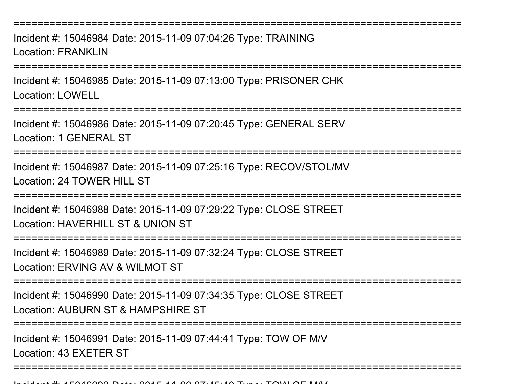===========================================================================Incident #: 15046984 Date: 2015-11-09 07:04:26 Type: TRAININGLocation: FRANKLIN**================** Incident #: 15046985 Date: 2015-11-09 07:13:00 Type: PRISONER CHKLocation: LOWELL===========================================================================Incident #: 15046986 Date: 2015-11-09 07:20:45 Type: GENERAL SERVLocation: 1 GENERAL ST============================ Incident #: 15046987 Date: 2015-11-09 07:25:16 Type: RECOV/STOL/MVLocation: 24 TOWER HILL ST ===========================================================================Incident #: 15046988 Date: 2015-11-09 07:29:22 Type: CLOSE STREETLocation: HAVERHILL ST & UNION ST ===========================================================================Incident #: 15046989 Date: 2015-11-09 07:32:24 Type: CLOSE STREETLocation: ERVING AV & WII MOT ST ===========================================================================Incident #: 15046990 Date: 2015-11-09 07:34:35 Type: CLOSE STREETLocation: AUBURN ST & HAMPSHIRE ST===========================================================================Incident #: 15046991 Date: 2015-11-09 07:44:41 Type: TOW OF M/VLocation: 43 EXETER ST===========================================================================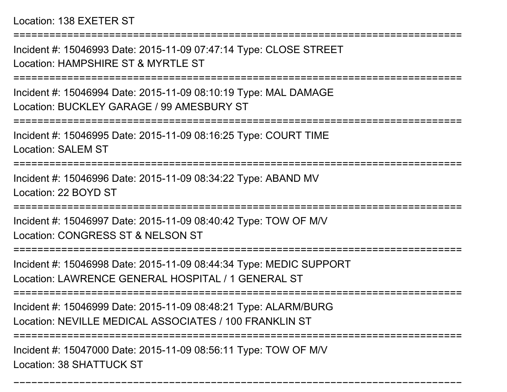Location: 138 EXETER ST

===========================================================================

Incident #: 15046993 Date: 2015-11-09 07:47:14 Type: CLOSE STREETLocation: HAMPSHIRF ST & MYRTLE ST

===========================================================================

Incident #: 15046994 Date: 2015-11-09 08:10:19 Type: MAL DAMAGELocation: BUCKLEY GARAGE / 99 AMESBURY ST

===========================================================================

Incident #: 15046995 Date: 2015-11-09 08:16:25 Type: COURT TIMELocation: SALEM ST

===========================================================================

Incident #: 15046996 Date: 2015-11-09 08:34:22 Type: ABAND MVLocation: 22 BOYD ST

===========================================================================

Incident #: 15046997 Date: 2015-11-09 08:40:42 Type: TOW OF M/VLocation: CONGRESS ST & NELSON ST

===========================================================================

Incident #: 15046998 Date: 2015-11-09 08:44:34 Type: MEDIC SUPPORTLocation: LAWRENCE GENERAL HOSPITAL / 1 GENERAL ST

===========================================================================

Incident #: 15046999 Date: 2015-11-09 08:48:21 Type: ALARM/BURGLocation: NEVILLE MEDICAL ASSOCIATES / 100 FRANKLIN ST

=======================

===========================================================================

Incident #: 15047000 Date: 2015-11-09 08:56:11 Type: TOW OF M/VLocation: 38 SHATTUCK ST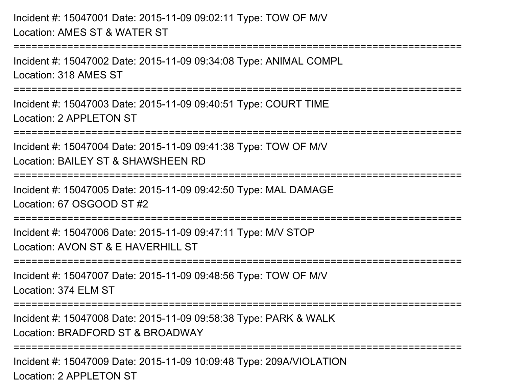Incident #: 15047001 Date: 2015-11-09 09:02:11 Type: TOW OF M/VLocation: AMES ST & WATER ST

Incident #: 15047002 Date: 2015-11-09 09:34:08 Type: ANIMAL COMPLLocation: 318 AMES ST

===========================================================================

===========================================================================

Incident #: 15047003 Date: 2015-11-09 09:40:51 Type: COURT TIMELocation: 2 APPL FTON ST

===========================================================================

Incident #: 15047004 Date: 2015-11-09 09:41:38 Type: TOW OF M/VLocation: BAILEY ST & SHAWSHEEN RD

===========================================================================

Incident #: 15047005 Date: 2015-11-09 09:42:50 Type: MAL DAMAGELocation: 67 OSGOOD ST #2

===========================================================================

Incident #: 15047006 Date: 2015-11-09 09:47:11 Type: M/V STOPLocation: AVON ST & F HAVERHILL ST

===========================================================================

Incident #: 15047007 Date: 2015-11-09 09:48:56 Type: TOW OF M/V

Location: 374 ELM ST

===========================================================================

Incident #: 15047008 Date: 2015-11-09 09:58:38 Type: PARK & WALKLocation: BRADFORD ST & BROADWAY

===========================================================================

Incident #: 15047009 Date: 2015-11-09 10:09:48 Type: 209A/VIOLATIONLocation: 2 APPL FTON ST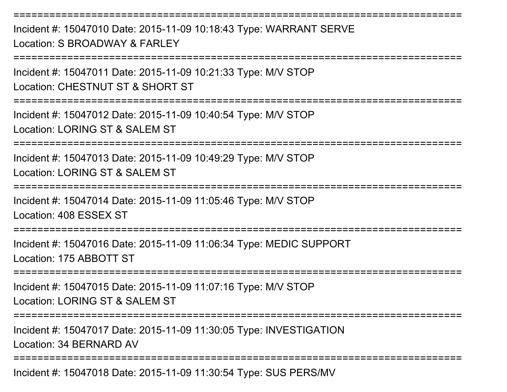Incident #: 15047010 Date: 2015-11-09 10:18:43 Type: WARRANT SERVELocation: S BROADWAY & FARLEY

===========================================================================

===========================================================================

Incident #: 15047011 Date: 2015-11-09 10:21:33 Type: M/V STOP

Location: CHESTNUT ST & SHORT ST

===========================================================================

Incident #: 15047012 Date: 2015-11-09 10:40:54 Type: M/V STOP

Location: LORING ST & SALEM ST

===========================================================================

Incident #: 15047013 Date: 2015-11-09 10:49:29 Type: M/V STOPLocation: LORING ST & SALEM ST

================

Incident #: 15047014 Date: 2015-11-09 11:05:46 Type: M/V STOP

Location: 408 ESSEX ST

===========================================================================

Incident #: 15047016 Date: 2015-11-09 11:06:34 Type: MEDIC SUPPORTLocation: 175 ABBOTT ST

===========================================================================

Incident #: 15047015 Date: 2015-11-09 11:07:16 Type: M/V STOPLocation: LORING ST & SALEM ST

**==================** 

Incident #: 15047017 Date: 2015-11-09 11:30:05 Type: INVESTIGATIONLocation: 34 BERNARD AV

===========================================================================

Incident #: 15047018 Date: 2015-11-09 11:30:54 Type: SUS PERS/MV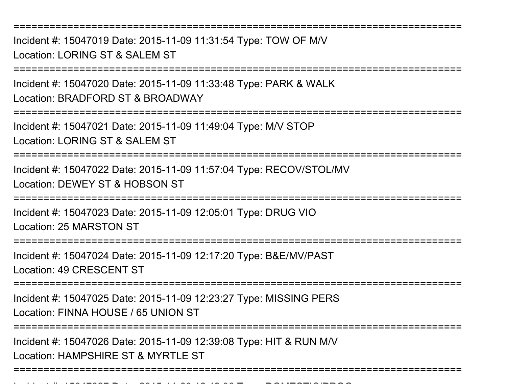===========================================================================

Incident #: 15047019 Date: 2015-11-09 11:31:54 Type: TOW OF M/VLocation: LORING ST & SALEM ST

===========================================================================

Incident #: 15047020 Date: 2015-11-09 11:33:48 Type: PARK & WALKLocation: BRADFORD ST & BROADWAY

===========================================================================

Incident #: 15047021 Date: 2015-11-09 11:49:04 Type: M/V STOP

Location: LORING ST & SALEM ST

===========================================================================

Incident #: 15047022 Date: 2015-11-09 11:57:04 Type: RECOV/STOL/MVLocation: DEWEY ST & HOBSON ST

===========================================================================

Incident #: 15047023 Date: 2015-11-09 12:05:01 Type: DRUG VIOLocation: 25 MARSTON ST

===========================================================================

Incident #: 15047024 Date: 2015-11-09 12:17:20 Type: B&E/MV/PASTLocation: 49 CRESCENT ST

===========================================================================

Incident #: 15047025 Date: 2015-11-09 12:23:27 Type: MISSING PERS

Location: FINNA HOUSE / 65 UNION ST

Incident #: 15047027 Date: 2015

===========================================================================

Incident #: 15047026 Date: 2015-11-09 12:39:08 Type: HIT & RUN M/VLocation: HAMPSHIRE ST & MYRTLE ST

===========================================================================

- *11 12:42:45 Type: DOMESTIC/PROG*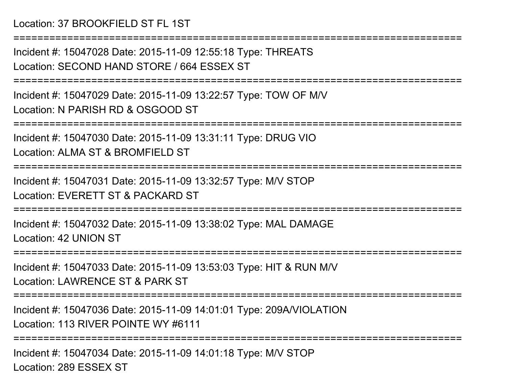## Location: 37 BROOKFIELD ST FL 1ST

Incident #: 15047028 Date: 2015-11-09 12:55:18 Type: THREATSLocation: SECOND HAND STORE / 664 ESSEX ST

===========================================================================

===========================================================================

Incident #: 15047029 Date: 2015-11-09 13:22:57 Type: TOW OF M/VLocation: N PARISH RD & OSGOOD ST

===========================================================================

Incident #: 15047030 Date: 2015-11-09 13:31:11 Type: DRUG VIOLocation: ALMA ST & BROMFIELD ST

===========================================================================

Incident #: 15047031 Date: 2015-11-09 13:32:57 Type: M/V STOPLocation: EVERETT ST & PACKARD ST

===========================================================================

Incident #: 15047032 Date: 2015-11-09 13:38:02 Type: MAL DAMAGELocation: 42 UNION ST

===========================================================================

Incident #: 15047033 Date: 2015-11-09 13:53:03 Type: HIT & RUN M/VLocation: LAWRENCE ST & PARK ST

===========================================================================

Incident #: 15047036 Date: 2015-11-09 14:01:01 Type: 209A/VIOLATIONLocation: 113 RIVER POINTE WY #6111

===========================================================================

Incident #: 15047034 Date: 2015-11-09 14:01:18 Type: M/V STOPLocation: 289 ESSEX ST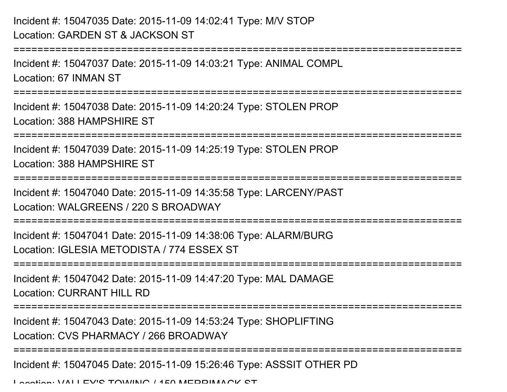## Incident #: 15047035 Date: 2015-11-09 14:02:41 Type: M/V STOPLocation: GARDEN ST & JACKSON ST

```
===========================================================================Incident #: 15047037 Date: 2015-11-09 14:03:21 Type: ANIMAL COMPLLocation: 67 INMAN ST===========================================================================Incident #: 15047038 Date: 2015-11-09 14:20:24 Type: STOLEN PROPLocation: 388 HAMPSHIRE ST===========================================================================Incident #: 15047039 Date: 2015-11-09 14:25:19 Type: STOLEN PROPLocation: 388 HAMPSHIRE ST===========================================================================Incident #: 15047040 Date: 2015-11-09 14:35:58 Type: LARCENY/PASTLocation: WALGREENS / 220 S BROADWAY===========================================================================Incident #: 15047041 Date: 2015-11-09 14:38:06 Type: ALARM/BURGLocation: IGLESIA METODISTA / 774 ESSEX ST===========================================================================Incident #: 15047042 Date: 2015-11-09 14:47:20 Type: MAL DAMAGELocation: CURRANT HILL RD

===========================================================================Incident #: 15047043 Date: 2015-11-09 14:53:24 Type: SHOPLIFTINGLocation: CVS PHARMACY / 266 BROADWAY===========================================================================Incident #: 15047045 Date: 2015-11-09 15:26:46 Type: ASSSIT OTHER PDLocation: VALLEY'S TOWING / 150 MERRIMACK ST
```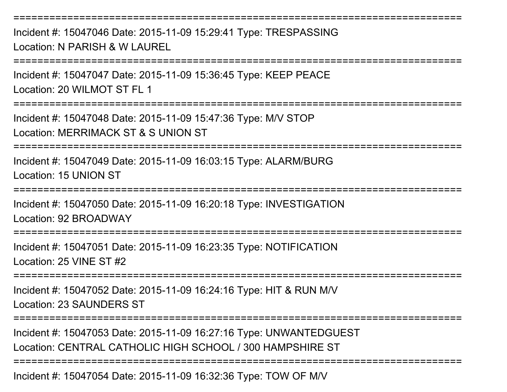===========================================================================Incident #: 15047046 Date: 2015-11-09 15:29:41 Type: TRESPASSINGLocation: N PARISH & W LAUREL===========================================================================Incident #: 15047047 Date: 2015-11-09 15:36:45 Type: KEEP PEACELocation: 20 WILMOT ST FL 1===========================================================================Incident #: 15047048 Date: 2015-11-09 15:47:36 Type: M/V STOPLocation: MERRIMACK ST & S UNION ST===========================================================================Incident #: 15047049 Date: 2015-11-09 16:03:15 Type: ALARM/BURGLocation: 15 UNION ST================== Incident #: 15047050 Date: 2015-11-09 16:20:18 Type: INVESTIGATIONLocation: 92 BROADWAY==================== Incident #: 15047051 Date: 2015-11-09 16:23:35 Type: NOTIFICATIONLocation: 25 VINE ST #2============== Incident #: 15047052 Date: 2015-11-09 16:24:16 Type: HIT & RUN M/VLocation: 23 SAUNDERS ST============================= Incident #: 15047053 Date: 2015-11-09 16:27:16 Type: UNWANTEDGUESTLocation: CENTRAL CATHOLIC HIGH SCHOOL / 300 HAMPSHIRE ST===========================================================================

Incident #: 15047054 Date: 2015-11-09 16:32:36 Type: TOW OF M/V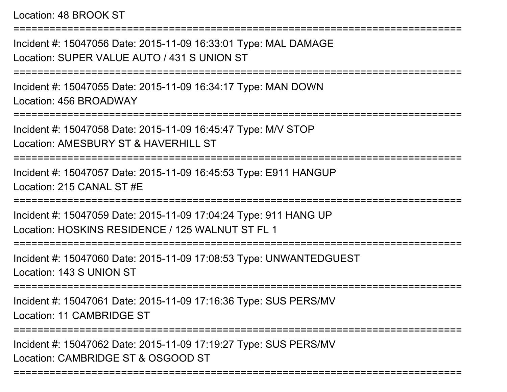Location: 48 BROOK ST

Incident #: 15047056 Date: 2015-11-09 16:33:01 Type: MAL DAMAGELocation: SUPER VALUE AUTO / 431 S UNION ST

===========================================================================

===========================================================================

Incident #: 15047055 Date: 2015-11-09 16:34:17 Type: MAN DOWNLocation: 456 BROADWAY

===========================================================================

Incident #: 15047058 Date: 2015-11-09 16:45:47 Type: M/V STOP

Location: AMESBURY ST & HAVERHILL ST

===========================================================================

Incident #: 15047057 Date: 2015-11-09 16:45:53 Type: E911 HANGUPLocation: 215 CANAL ST #E

===========================================================================

Incident #: 15047059 Date: 2015-11-09 17:04:24 Type: 911 HANG UPLocation: HOSKINS RESIDENCE / 125 WALNUT ST FL 1

===========================================================================

Incident #: 15047060 Date: 2015-11-09 17:08:53 Type: UNWANTEDGUESTLocation: 143 S UNION ST

===========================================================================

Incident #: 15047061 Date: 2015-11-09 17:16:36 Type: SUS PERS/MVLocation: 11 CAMBRIDGE ST

===========================================================================

===========================================================================

Incident #: 15047062 Date: 2015-11-09 17:19:27 Type: SUS PERS/MVLocation: CAMBRIDGE ST & OSGOOD ST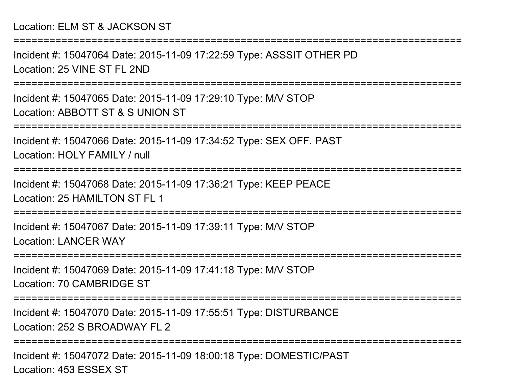Incident #: 15047064 Date: 2015-11-09 17:22:59 Type: ASSSIT OTHER PDLocation: 25 VINE ST FL 2ND

===========================================================================

===========================================================================

Incident #: 15047065 Date: 2015-11-09 17:29:10 Type: M/V STOPLocation: ABBOTT ST & S UNION ST

===========================================================================

Incident #: 15047066 Date: 2015-11-09 17:34:52 Type: SEX OFF. PAST

Location: HOLY FAMILY / null

===========================================================================

Incident #: 15047068 Date: 2015-11-09 17:36:21 Type: KEEP PEACELocation: 25 HAMILTON ST FL 1

===========================================================================

Incident #: 15047067 Date: 2015-11-09 17:39:11 Type: M/V STOPLocation: LANCER WAY

===========================================================================

Incident #: 15047069 Date: 2015-11-09 17:41:18 Type: M/V STOPLocation: 70 CAMBRIDGE ST

===========================================================================

Incident #: 15047070 Date: 2015-11-09 17:55:51 Type: DISTURBANCELocation: 252 S BROADWAY FL 2

===========================================================================

Incident #: 15047072 Date: 2015-11-09 18:00:18 Type: DOMESTIC/PASTLocation: 453 ESSEX ST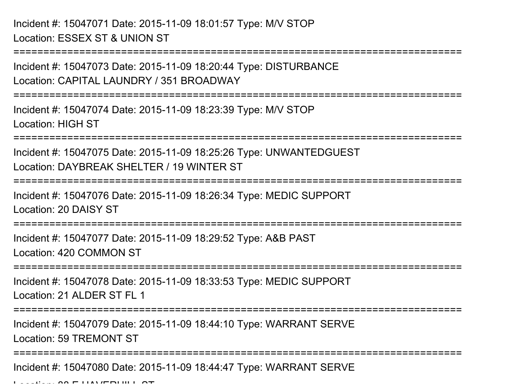Incident #: 15047071 Date: 2015-11-09 18:01:57 Type: M/V STOPLocation: ESSEX ST & UNION ST

===========================================================================Incident #: 15047073 Date: 2015-11-09 18:20:44 Type: DISTURBANCELocation: CAPITAL LAUNDRY / 351 BROADWAY ===========================================================================Incident #: 15047074 Date: 2015-11-09 18:23:39 Type: M/V STOPLocation: HIGH ST===========================================================================Incident #: 15047075 Date: 2015-11-09 18:25:26 Type: UNWANTEDGUESTLocation: DAYBREAK SHELTER / 19 WINTER ST===========================================================================

Incident #: 15047076 Date: 2015-11-09 18:26:34 Type: MEDIC SUPPORTLocation: 20 DAISY ST

=========================

Incident #: 15047077 Date: 2015-11-09 18:29:52 Type: A&B PASTLocation: 420 COMMON ST

===========================================================================

Incident #: 15047078 Date: 2015-11-09 18:33:53 Type: MEDIC SUPPORTLocation: 21 ALDER ST FL 1

===========================================================================

Incident #: 15047079 Date: 2015-11-09 18:44:10 Type: WARRANT SERVELocation: 59 TREMONT ST

===========================================================================

Incident #: 15047080 Date: 2015-11-09 18:44:47 Type: WARRANT SERVE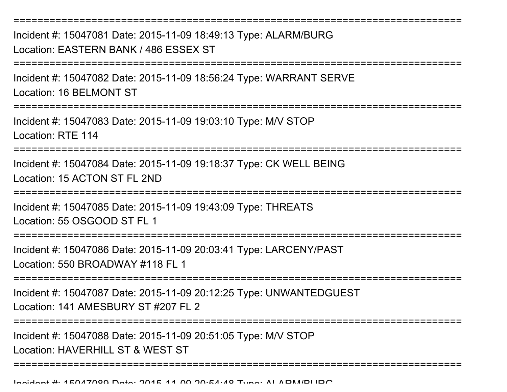===========================================================================Incident #: 15047081 Date: 2015-11-09 18:49:13 Type: ALARM/BURGLocation: EASTERN BANK / 486 ESSEX ST===========================================================================Incident #: 15047082 Date: 2015-11-09 18:56:24 Type: WARRANT SERVELocation: 16 BELMONT ST===========================================================================Incident #: 15047083 Date: 2015-11-09 19:03:10 Type: M/V STOPLocation: RTE 114===========================================================================Incident #: 15047084 Date: 2015-11-09 19:18:37 Type: CK WELL BEINGLocation: 15 ACTON ST FL 2ND**===============** Incident #: 15047085 Date: 2015-11-09 19:43:09 Type: THREATSLocation: 55 OSGOOD ST FL 1===========================================================================Incident #: 15047086 Date: 2015-11-09 20:03:41 Type: LARCENY/PASTLocation: 550 BROADWAY #118 FL 1===========================================================================Incident #: 15047087 Date: 2015-11-09 20:12:25 Type: UNWANTEDGUESTLocation: 141 AMESBURY ST #207 FL 2 ===========================================================================Incident #: 15047088 Date: 2015-11-09 20:51:05 Type: M/V STOPLocation: HAVERHILL ST & WEST ST===========================================================================

Incident #: 15047089 Date: 2015 <sup>11</sup> 09 20:54:48 Type: ALARM/BURG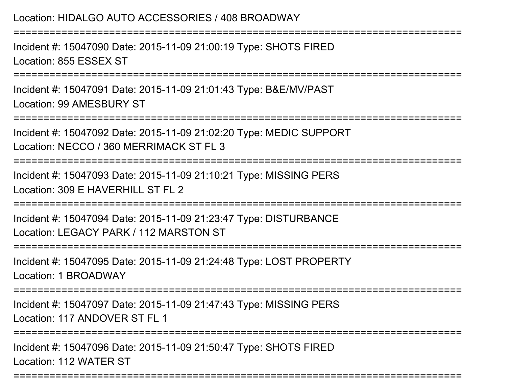## Location: HIDALGO AUTO ACCESSORIES / 408 BROADWAY

Incident #: 15047090 Date: 2015-11-09 21:00:19 Type: SHOTS FIREDLocation: 855 ESSEX ST

===========================================================================

===========================================================================

Incident #: 15047091 Date: 2015-11-09 21:01:43 Type: B&E/MV/PASTLocation: 99 AMESBURY ST

===========================================================================

Incident #: 15047092 Date: 2015-11-09 21:02:20 Type: MEDIC SUPPORTLocation: NECCO / 360 MERRIMACK ST FL 3

===========================================================================

Incident #: 15047093 Date: 2015-11-09 21:10:21 Type: MISSING PERSLocation: 309 F HAVERHILL ST FL 2

===========================================================================

Incident #: 15047094 Date: 2015-11-09 21:23:47 Type: DISTURBANCELocation: LEGACY PARK / 112 MARSTON ST

===========================================================================

Incident #: 15047095 Date: 2015-11-09 21:24:48 Type: LOST PROPERTYLocation: 1 BROADWAY

===========================================================================

Incident #: 15047097 Date: 2015-11-09 21:47:43 Type: MISSING PERSLocation: 117 ANDOVER ST FL 1

===========================================================================

Incident #: 15047096 Date: 2015-11-09 21:50:47 Type: SHOTS FIREDLocation: 112 WATER ST

===========================================================================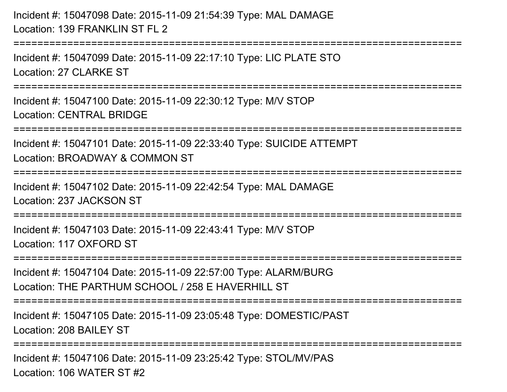Incident #: 15047098 Date: 2015-11-09 21:54:39 Type: MAL DAMAGELocation: 139 FRANKLIN ST FL 2

===========================================================================

Incident #: 15047099 Date: 2015-11-09 22:17:10 Type: LIC PLATE STOLocation: 27 CLARKE ST

===========================================================================

Incident #: 15047100 Date: 2015-11-09 22:30:12 Type: M/V STOPLocation: CENTRAL BRIDGE

===========================================================================

Incident #: 15047101 Date: 2015-11-09 22:33:40 Type: SUICIDE ATTEMPT

Location: BROADWAY & COMMON ST

===========================================================================

Incident #: 15047102 Date: 2015-11-09 22:42:54 Type: MAL DAMAGELocation: 237 JACKSON ST

===========================================================================

Incident #: 15047103 Date: 2015-11-09 22:43:41 Type: M/V STOPLocation: 117 OXFORD ST

===========================================================================

Incident #: 15047104 Date: 2015-11-09 22:57:00 Type: ALARM/BURGLocation: THE PARTHUM SCHOOL / 258 F HAVERHILL ST

===========================================================================

Incident #: 15047105 Date: 2015-11-09 23:05:48 Type: DOMESTIC/PASTLocation: 208 BAILEY ST

===========================================================================

Incident #: 15047106 Date: 2015-11-09 23:25:42 Type: STOL/MV/PASLocation: 106 WATER ST #2